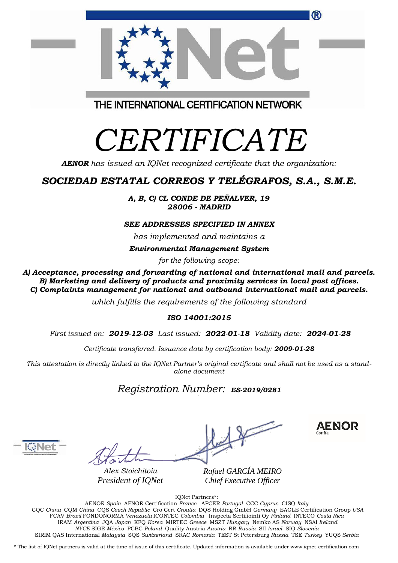| ®                                       |
|-----------------------------------------|
| THE INTERNATIONAL CERTIFICATION NETWORK |
| $\blacksquare$<br>ZN 1<br>┍             |

# *CERTIFICATE*

*AENOR has issued an IQNet recognized certificate that the organization:*

## *SOCIEDAD ESTATAL CORREOS Y TELÉGRAFOS, S.A., S.M.E.*

*A, B, C) CL CONDE DE PEÑALVER, 19 28006 - MADRID*

#### *SEE ADDRESSES SPECIFIED IN ANNEX*

*has implemented and maintains a*

*Environmental Management System*

*for the following scope:* 

*A) Acceptance, processing and forwarding of national and international mail and parcels. B) Marketing and delivery of products and proximity services in local post offices. C) Complaints management for national and outbound international mail and parcels.*

*which fulfills the requirements of the following standard*

#### *ISO 14001:2015*

*First issued on: 2019-12-03 Last issued: 2022-01-18 Validity date: 2024-01-28*

*Certificate transferred. Issuance date by certification body: 2009-01-28*

*This attestation is directly linked to the IQNet Partner's original certificate and shall not be used as a standalone document*

### *Registration Number: ES-2019/0281*



*Alex Stoichitoiu President of IQNet* *Rafael GARCÍA MEIRO Chief Executive Officer*

**AENOR** 

IQNet Partners\*:

AENOR *Spain* AFNOR Certification *France* APCER *Portugal* CCC *Cyprus* CISQ *Italy* CQC *China* CQM *China* CQS *Czech Republic* Cro Cert *Croatia* DQS Holding GmbH *Germany* EAGLE Certification Group *USA* FCAV *Brazil* FONDONORMA *Venezuela* ICONTEC *Colombia* Inspecta Sertifiointi Oy *Finland* INTECO *Costa Rica* IRAM *Argentina* JQA *Japan* KFQ *Korea* MIRTEC *Greece* MSZT *Hungary* Nemko AS *Norway* NSAI *Ireland NYCE-*SIGE *México* PCBC *Poland* Quality Austria *Austria* RR *Russia* SII *Israel* SIQ *Slovenia*  SIRIM QAS International *Malaysia* SQS *Switzerland* SRAC *Romania* TEST St Petersburg *Russia* TSE *Turkey* YUQS *Serbia*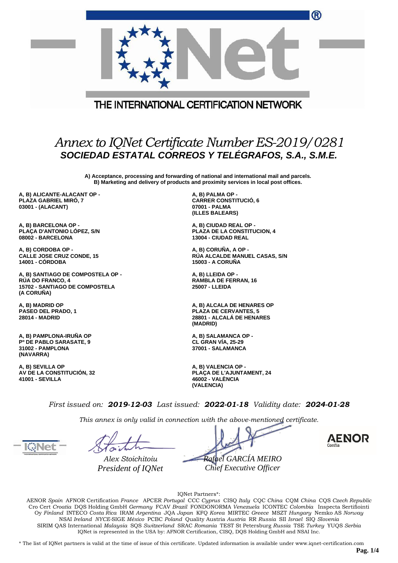| W                                                                                                     |  |
|-------------------------------------------------------------------------------------------------------|--|
| THE INTERNATIONAL CERTIFICATION NETWORK                                                               |  |
| Annex to IQNet Certificate Number ES-2019/0281<br>sociedad Estatal correos y TELÉGRAFOS, S.A., S.M.E. |  |

**A) Acceptance, processing and forwarding of national and international mail and parcels. B) Marketing and delivery of products and proximity services in local post offices.**

**A, B) ALICANTE-ALACANT OP - PLAZA GABRIEL MIRÓ, 7 03001 - (ALACANT)**

**A, B) BARCELONA OP - PLAÇA D'ANTONIO LÓPEZ, S/N 08002 - BARCELONA**

**A, B) CORDOBA OP - CALLE JOSE CRUZ CONDE, 15 14001 - CÓRDOBA**

**A, B) SANTIAGO DE COMPOSTELA OP - RÚA DO FRANCO, 4 15702 - SANTIAGO DE COMPOSTELA (A CORUÑA)**

**A, B) MADRID OP PASEO DEL PRADO, 1 28014 - MADRID**

**A, B) PAMPLONA-IRUÑA OP Pº DE PABLO SARASATE, 9 31002 - PAMPLONA (NAVARRA)**

**A, B) SEVILLA OP AV DE LA CONSTITUCIÓN, 32 41001 - SEVILLA**

**A, B) PALMA OP - CARRER CONSTITUCIÓ, 6 07001 - PALMA (ILLES BALEARS)**

**A, B) CIUDAD REAL OP - PLAZA DE LA CONSTITUCION, 4 13004 - CIUDAD REAL**

**A, B) CORUÑA, A OP - RÚA ALCALDE MANUEL CASAS, S/N 15003 - A CORUÑA**

**A, B) LLEIDA OP - RAMBLA DE FERRAN, 16 25007 - LLEIDA**

**A, B) ALCALA DE HENARES OP PLAZA DE CERVANTES, 5 28801 - ALCALÁ DE HENARES (MADRID)**

**A, B) SALAMANCA OP - CL GRAN VÍA, 25-29 37001 - SALAMANCA**

**A, B) VALENCIA OP - PLAÇA DE L'AJUNTAMENT, 24 46002 - VALÈNCIA (VALENCIA)**

*First issued on: 2019-12-03 Last issued: 2022-01-18 Validity date: 2024-01-28*

*This annex is only valid in connection with the above-mentioned certificate.*

*Alex Stoichitoiu President of IQNet*

*Rafael GARCÍA MEIRO Chief Executive Officer*



 $\sim$ 

IQNet Partners\*:

AENOR *Spain* AFNOR Certification *France* APCER *Portugal* CCC *Cyprus* CISQ *Italy* CQC *China* CQM *China* CQS *Czech Republic*  Cro Cert *Croatia* DQS Holding GmbH *Germany* FCAV *Brazil* FONDONORMA *Venezuela* ICONTEC *Colombia* Inspecta Sertifiointi Oy *Finland* INTECO *Costa Rica* IRAM *Argentina* JQA *Japan* KFQ *Korea* MIRTEC *Greece* MSZT *Hungary* Nemko AS *Norway*  NSAI *Ireland NYCE-*SIGE *México* PCBC *Poland* Quality Austria *Austria* RR *Russia* SII *Israel* SIQ *Slovenia*  SIRIM QAS International *Malaysia* SQS *Switzerland* SRAC *Romania* TEST St Petersburg *Russia* TSE *Turkey* YUQS *Serbia* IQNet is represented in the USA by: AFNOR Certification, CISQ, DQS Holding GmbH and NSAI Inc.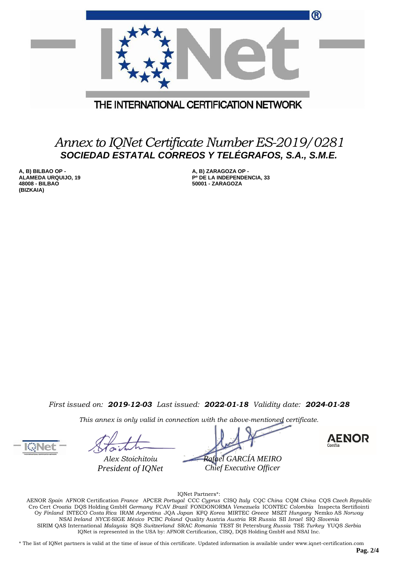|                                         | ® |
|-----------------------------------------|---|
|                                         |   |
| THE INTERNATIONAL CERTIFICATION NETWORK |   |

## *Annex to IQNet Certificate Number ES-2019/0281 SOCIEDAD ESTATAL CORREOS Y TELÉGRAFOS, S.A., S.M.E.*

**A, B) BILBAO OP - ALAMEDA URQUIJO, 19 48008 - BILBAO (BIZKAIA)**

**A, B) ZARAGOZA OP - Pº DE LA INDEPENDENCIA, 33 50001 - ZARAGOZA**

*First issued on: 2019-12-03 Last issued: 2022-01-18 Validity date: 2024-01-28*

*This annex is only valid in connection with the above-mentioned certificate.*

*Alex Stoichitoiu*

*President of IQNet*

*Rafael GARCÍA MEIRO Chief Executive Officer*



IQNet Partners\*:

AENOR *Spain* AFNOR Certification *France* APCER *Portugal* CCC *Cyprus* CISQ *Italy* CQC *China* CQM *China* CQS *Czech Republic*  Cro Cert *Croatia* DQS Holding GmbH *Germany* FCAV *Brazil* FONDONORMA *Venezuela* ICONTEC *Colombia* Inspecta Sertifiointi Oy *Finland* INTECO *Costa Rica* IRAM *Argentina* JQA *Japan* KFQ *Korea* MIRTEC *Greece* MSZT *Hungary* Nemko AS *Norway*  NSAI *Ireland NYCE-*SIGE *México* PCBC *Poland* Quality Austria *Austria* RR *Russia* SII *Israel* SIQ *Slovenia*  SIRIM QAS International *Malaysia* SQS *Switzerland* SRAC *Romania* TEST St Petersburg *Russia* TSE *Turkey* YUQS *Serbia* IQNet is represented in the USA by: AFNOR Certification, CISQ, DQS Holding GmbH and NSAI Inc.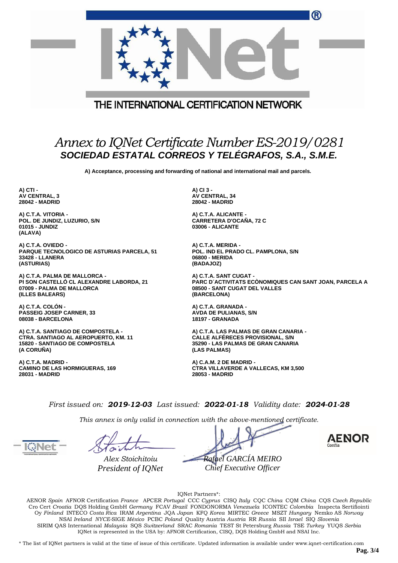|                                         | (R)                                            |  |  |  |
|-----------------------------------------|------------------------------------------------|--|--|--|
| THE INTERNATIONAL CERTIFICATION NETWORK |                                                |  |  |  |
|                                         | Annex to IQNet Certificate Number ES-2019/0281 |  |  |  |

**A) Acceptance, processing and forwarding of national and international mail and parcels.**

*SOCIEDAD ESTATAL CORREOS Y TELÉGRAFOS, S.A., S.M.E.*

**A) CTI - AV CENTRAL, 3 28042 - MADRID**

**A) C.T.A. VITORIA - POL. DE JUNDIZ, LUZURIO, S/N 01015 - JUNDIZ (ALAVA)**

**A) C.T.A. OVIEDO - PARQUE TECNOLOGICO DE ASTURIAS PARCELA, 51 33428 - LLANERA (ASTURIAS)**

**A) C.T.A. PALMA DE MALLORCA - PI SON CASTELLÓ CL ALEXANDRE LABORDA, 21 07009 - PALMA DE MALLORCA (ILLES BALEARS)**

**A) C.T.A. COLÓN - PASSEIG JOSEP CARNER, 33 08038 - BARCELONA**

**A) C.T.A. SANTIAGO DE COMPOSTELA - CTRA. SANTIAGO AL AEROPUERTO, KM. 11 15820 - SANTIAGO DE COMPOSTELA (A CORUÑA)**

**A) C.T.A. MADRID - CAMINO DE LAS HORMIGUERAS, 169 28031 - MADRID**

**A) CI 3 - AV CENTRAL, 34 28042 - MADRID**

**A) C.T.A. ALICANTE - CARRETERA D'OCAÑA, 72 C 03006 - ALICANTE**

**A) C.T.A. MERIDA - POL. IND EL PRADO CL. PAMPLONA, S/N 06800 - MERIDA (BADAJOZ)**

**A) C.T.A. SANT CUGAT - PARC D´ACTIVITATS ECÒNOMIQUES CAN SANT JOAN, PARCELA A 08500 - SANT CUGAT DEL VALLES (BARCELONA)**

**A) C.T.A. GRANADA - AVDA DE PULIANAS, S/N 18197 - GRANADA**

**A) C.T.A. LAS PALMAS DE GRAN CANARIA - CALLE ALFÉRECES PROVISIONAL, S/N 35290 - LAS PALMAS DE GRAN CANARIA (LAS PALMAS)**

**A) C.A.M. 2 DE MADRID - CTRA VILLAVERDE A VALLECAS, KM 3,500 28053 - MADRID**

*First issued on: 2019-12-03 Last issued: 2022-01-18 Validity date: 2024-01-28*

*This annex is only valid in connection with the above-mentioned certificate.*

*Alex Stoichitoiu*

*President of IQNet*

*Rafael GARCÍA MEIRO Chief Executive Officer*



IQNet Partners\*:

AENOR *Spain* AFNOR Certification *France* APCER *Portugal* CCC *Cyprus* CISQ *Italy* CQC *China* CQM *China* CQS *Czech Republic*  Cro Cert *Croatia* DQS Holding GmbH *Germany* FCAV *Brazil* FONDONORMA *Venezuela* ICONTEC *Colombia* Inspecta Sertifiointi Oy *Finland* INTECO *Costa Rica* IRAM *Argentina* JQA *Japan* KFQ *Korea* MIRTEC *Greece* MSZT *Hungary* Nemko AS *Norway*  NSAI *Ireland NYCE-*SIGE *México* PCBC *Poland* Quality Austria *Austria* RR *Russia* SII *Israel* SIQ *Slovenia*  SIRIM QAS International *Malaysia* SQS *Switzerland* SRAC *Romania* TEST St Petersburg *Russia* TSE *Turkey* YUQS *Serbia* IQNet is represented in the USA by: AFNOR Certification, CISQ, DQS Holding GmbH and NSAI Inc.